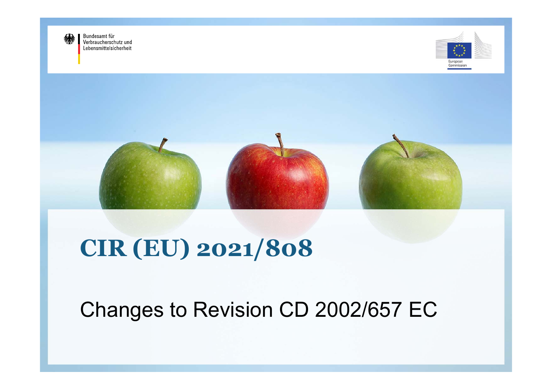

Bundesamt für Verbraucherschutz und Lebensmittelsicherheit





# **CIR (EU) 2021/808**

## Changes to Revision CD 2002/657 EC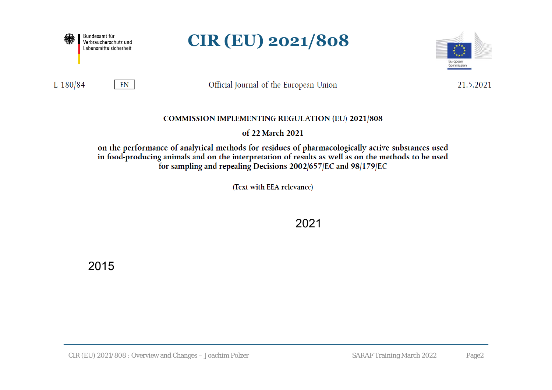

### **CIR (EU) 2021/808**



 $EN$ 

Official Journal of the European Union

21.5.2021

#### **COMMISSION IMPLEMENTING REGULATION (EU) 2021/808**

of 22 March 2021

on the performance of analytical methods for residues of pharmacologically active substances used in food-producing animals and on the interpretation of results as well as on the methods to be used for sampling and repealing Decisions 2002/657/EC and 98/179/EC

(Text with EEA relevance)

2021

2015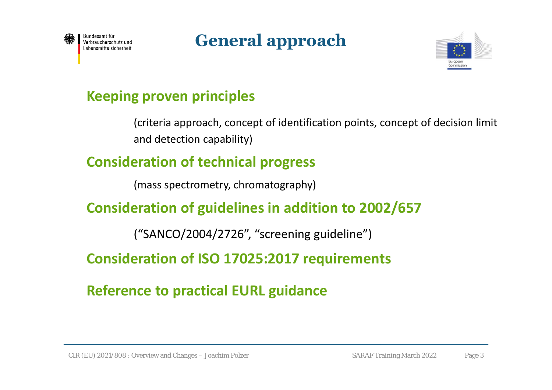

### **General approach**



### **Keeping proven principles**

(criteria approach, concept of identification points, concept of decision limit and detection capability)

### **Consideration of technical progress**

(mass spectrometry, chromatography)

### **Consideration of guidelines in addition to 2002/657**

("SANCO/2004/2726", "screening guideline")

**Consideration of ISO 17025:2017 requirements**

**Reference to practical EURL guidance**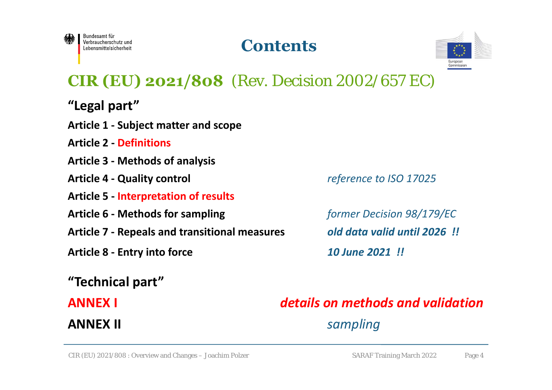

### **Contents**



### **CIR (EU) 2021/808** (Rev. Decision 2002/657 EC)

- **"Legal part"**
- **Article 1 ‐ Subject matter and scope**
- **Article 2 ‐ Definitions**
- **Article 3 ‐ Methods of analysis**
- **Article 4 ‐ Quality control** *reference to ISO 17025*
- **Article 5 ‐ Interpretation of results**
- **Article 6 ‐ Methods for sampling**  *former Decision 98/179/EC*
- **Article 7 ‐ Repeals and transitional measures**  *old data valid until 2026 !!*
- **Article 8 ‐ Entry into force** *10 June 2021 !!*
- **"Technical part"**

#### **ANNEX I**

**ANNEX II**

### *details on methods and validationsampling*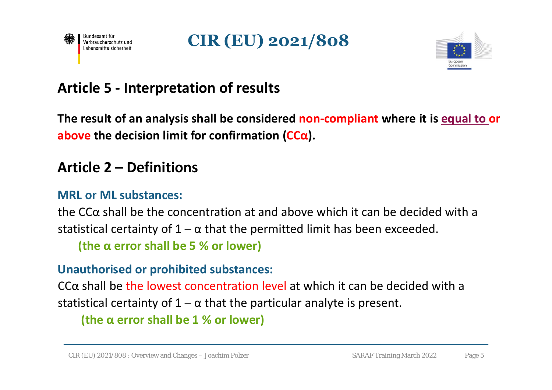





### **Article 5 ‐ Interpretation of results**

**The result of an analysis shall be considered non‐compliant where it is equal to or above the decision limit for confirmation (CCα).**

### **Article 2 – Definitions**

#### **MRL or ML substances:**

the CCα shall be the concentration at and above which it can be decided with a statistical certainty of  $1 - \alpha$  that the permitted limit has been exceeded.

**(the α error shall be 5 % or lower)**

#### **Unauthorised or prohibited substances:**

CCα shall be the lowest concentration level at which it can be decided with a statistical certainty of  $1 - \alpha$  that the particular analyte is present.

**(the α error shall be 1 % or lower)**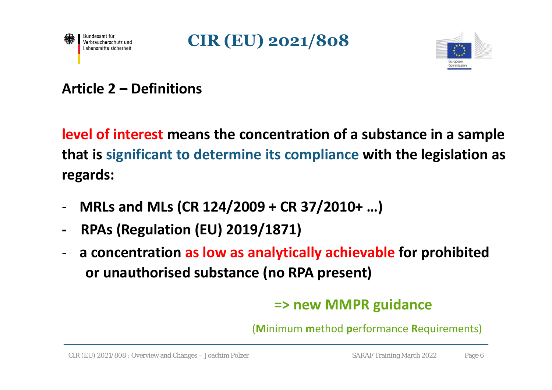





### **Article 2 – Definitions**

**level of interest means the concentration of a substance in a sample that is significant to determine its compliance with the legislation as regards:**

- ‐**MRLs and MLs (CR 124/2009 + CR 37/2010+ …)**
- **‐ RPAs (Regulation (EU) 2019/1871)**
- ‐ **a concentration as low as analytically achievable for prohibited or unauthorised substance (no RPA present)**

### **=> new MMPR guidance**

(**M**inimum **m**ethod **p**erformance **R**equirements)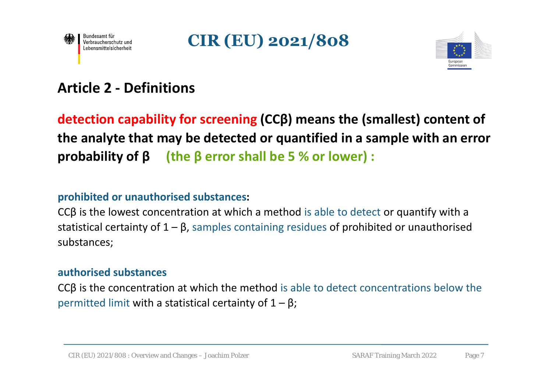





### **Article 2 ‐ Definitions**

**detection capability for screening (CCβ) means the (smallest) content of the analyte that may be detected or quantified in a sample with an error probability of β (the β error shall be 5 % or lower) :**

#### **prohibited or unauthorised substances:**

CCβ is the lowest concentration at which a method is able to detect or quantify with a statistical certainty of  $1 - \beta$ , samples containing residues of prohibited or unauthorised substances;

#### **authorised substances**

CCβ is the concentration at which the method is able to detect concentrations below the permitted limit with a statistical certainty of  $1 - \beta$ ;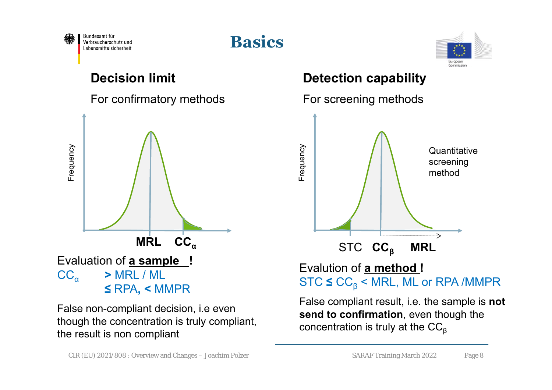

### **Basics**



For confirmatory methods For screening methods



False non-compliant decision, i.e even though the concentration is truly compliant, the result is non compliant

#### **Decision limit Detection capability**



False compliant result, i.e. the sample is **not send to confirmation**, even though the concentration is truly at the  $CC_{\beta}$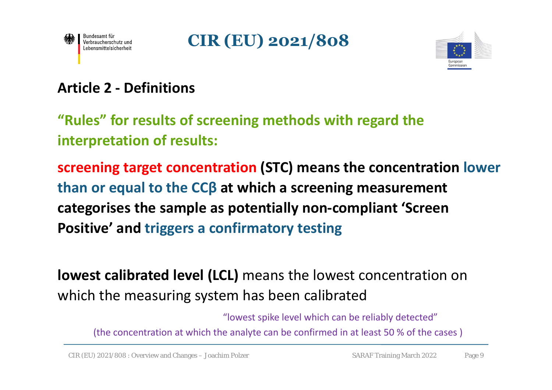





### **Article 2 ‐ Definitions**

**"Rules" for results of screening methods with regard the interpretation of results:**

**screening target concentration (STC) means the concentration lower than or equal to the CCβ at which a screening measurement categorises the sample as potentially non‐compliant 'Screen Positive' and triggers a confirmatory testing**

**lowest calibrated level (LCL)** means the lowest concentration on which the measuring system has been calibrated

"lowest spike level which can be reliably detected"

(the concentration at which the analyte can be confirmed in at least 50 % of the cases )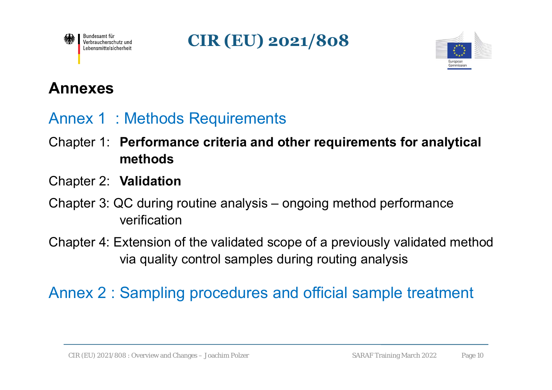

**CIR (EU) 2021/808**



### **Annexes**

### Annex 1 : Methods Requirements

- Chapter 1: **Performance criteria and other requirements for analytical methods**
- Chapter 2: **Validation**
- Chapter 3: QC during routine analysis ongoing method performance verification
- Chapter 4: Extension of the validated scope of a previously validated method via quality control samples during routing analysis

### Annex 2 : Sampling procedures and official sample treatment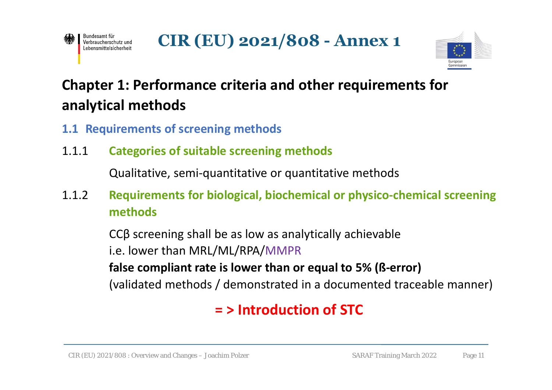



### **Chapter 1: Performance criteria and other requirements for analytical methods**

- **1.1 Requirements of screening methods**
- 1.1.1 **Categories of suitable screening methods**

Qualitative, semi‐quantitative or quantitative methods

1.1.2 **Requirements for biological, biochemical or physico‐chemical screening methods**

CCβ screening shall be as low as analytically achievable

i.e. lower than MRL/ML/RPA/MMPR

**false compliant rate is lower than or equal to 5% (ß‐error)** 

(validated methods / demonstrated in a documented traceable manner)

### **= > Introduction of STC**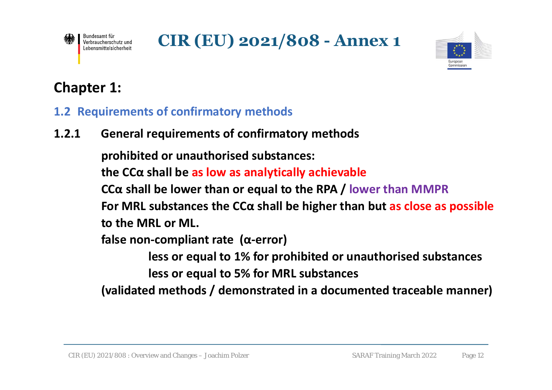

**CIR (EU) 2021/808 - Annex 1**



### **Chapter 1:**

#### **1.2 Requirements of confirmatory methods**

**1.2.1 General requirements of confirmatory methods**

**prohibited or unauthorised substances: the CCα shall be as low as analytically achievable CCα shall be lower than or equal to the RPA / lower than MMPR For MRL substances the CCα shall be higher than but as close as possible to the MRL or ML.false non‐compliant rate (α‐error) less or equal to 1% for prohibited or unauthorised substances** 

**less or equal to 5% for MRL substances** 

**(validated methods / demonstrated in a documented traceable manner)**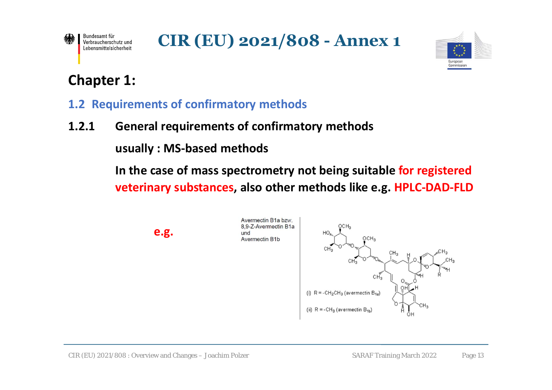

**CIR (EU) 2021/808 - Annex 1**



### **Chapter 1:**

#### **1.2 Requirements of confirmatory methods**

#### **1.2.1 General requirements of confirmatory methods**

**usually : MS‐based methods**

**In the case of mass spectrometry not being suitable for registered veterinary substances, also other methods like e.g. HPLC‐DAD‐FLD**

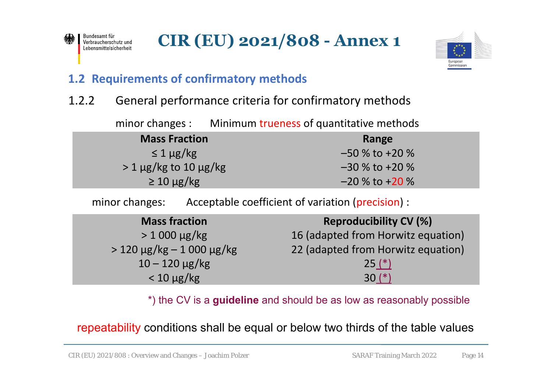



#### **1.2 Requirements of confirmatory methods**

#### 1.2.2 General performance criteria for confirmatory methods

minor changes : Minimum trueness of quantitative methods

| <b>Mass Fraction</b>            | Range              |
|---------------------------------|--------------------|
| $\leq 1 \mu$ g/kg               | $-50\%$ to +20 %   |
| $> 1 \mu g/kg$ to 10 $\mu g/kg$ | $-30\%$ to +20 %   |
| $\geq 10 \mu g/kg$              | $-20\%$ to $+20\%$ |

minor changes: Acceptable coefficient of variation (precision) :

| <b>Mass fraction</b>             | <b>Reproducibility CV (%)</b>      |
|----------------------------------|------------------------------------|
| $> 1000 \mu g/kg$                | 16 (adapted from Horwitz equation) |
| $> 120 \mu g/kg - 1000 \mu g/kg$ | 22 (adapted from Horwitz equation) |
| $10 - 120 \mu g/kg$              | $25(*)$                            |
| $< 10 \mu g/kg$                  | $30(*)$                            |

\*) the CV is a **guideline** and should be as low as reasonably possible

repeatability conditions shall be equal or below two thirds of the table values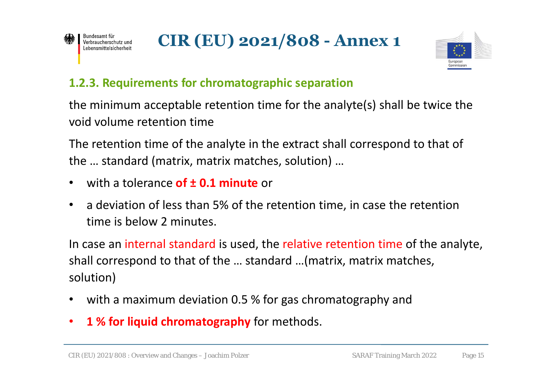



#### **1.2.3. Requirements for chromatographic separation**

the minimum acceptable retention time for the analyte(s) shall be twice the void volume retention time

The retention time of the analyte in the extract shall correspond to that of the … standard (matrix, matrix matches, solution) …

- •with a tolerance **of ± 0.1 minute** or
- • a deviation of less than 5% of the retention time, in case the retention time is below 2 minutes.

In case an internal standard is used, the relative retention time of the analyte, shall correspond to that of the … standard …(matrix, matrix matches, solution)

- •with a maximum deviation 0.5 % for gas chromatography and
- •**1 % for liquid chromatography** for methods.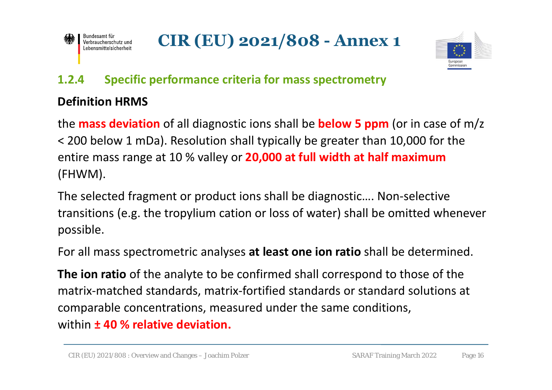

**CIR (EU) 2021/808 - Annex 1**



#### **1.2.4 Specific performance criteria for mass spectrometry**

#### **Definition HRMS**

the **mass deviation** of all diagnostic ions shall be **below 5 ppm** (or in case of m/z < 200 below 1 mDa). Resolution shall typically be greater than 10,000 for the entire mass range at 10 % valley or **20,000 at full width at half maximum**  (FHWM).

The selected fragment or product ions shall be diagnostic…. Non‐selective transitions (e.g. the tropylium cation or loss of water) shall be omitted whenever possible.

For all mass spectrometric analyses **at least one ion ratio** shall be determined.

**The ion ratio** of the analyte to be confirmed shall correspond to those of the matrix‐matched standards, matrix‐fortified standards or standard solutions at comparable concentrations, measured under the same conditions, within **± 40 % relative deviation.**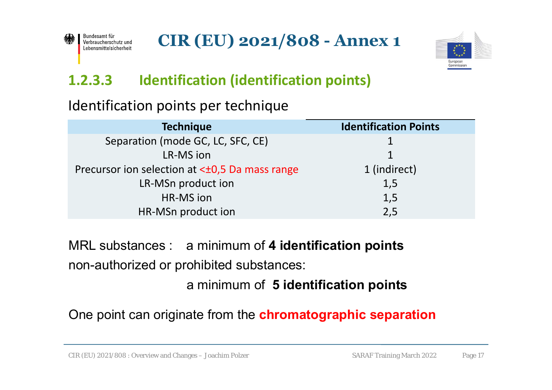



### **1.2.3.3 Identification (identification points)**

### Identification points per technique

| <b>Technique</b>                                     | <b>Identification Points</b> |
|------------------------------------------------------|------------------------------|
| Separation (mode GC, LC, SFC, CE)                    |                              |
| LR-MS ion                                            | 1                            |
| Precursor ion selection at < $\pm$ 0,5 Da mass range | 1 (indirect)                 |
| LR-MSn product ion                                   | 1,5                          |
| HR-MS ion                                            | 1,5                          |
| HR-MSn product ion                                   | 2,5                          |

MRL substances : a minimum of **4 identification points** non-authorized or prohibited substances:

a minimum of **5 identification points**

One point can originate from the **chromatographic separation**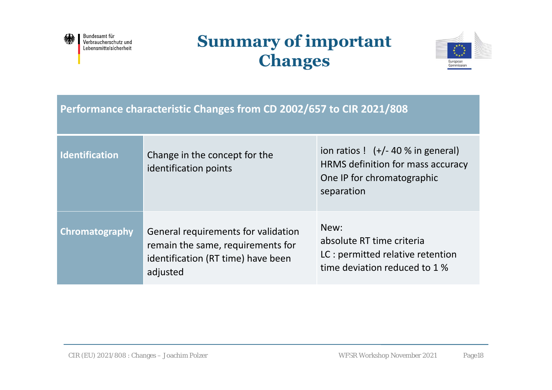

### **Summary of important Changes**



**Performance characteristic Changes from CD 2002/657 to CIR 2021/808**

| <b>Identification</b> | Change in the concept for the<br>identification points                                                                     | ion ratios $!$ $(+/- 40 %$ in general)<br>HRMS definition for mass accuracy<br>One IP for chromatographic<br>separation |  |
|-----------------------|----------------------------------------------------------------------------------------------------------------------------|-------------------------------------------------------------------------------------------------------------------------|--|
| Chromatography        | General requirements for validation<br>remain the same, requirements for<br>identification (RT time) have been<br>adjusted | New:<br>absolute RT time criteria<br>LC : permitted relative retention<br>time deviation reduced to 1 %                 |  |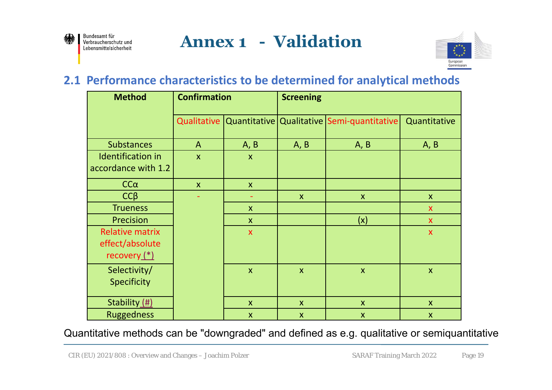

### **Annex 1 - Validation**



#### **2.1 Performance characteristics to be determined for analytical methods**

| <b>Method</b>                                               | <b>Confirmation</b>       |                           | <b>Screening</b>          |                                            |                           |
|-------------------------------------------------------------|---------------------------|---------------------------|---------------------------|--------------------------------------------|---------------------------|
|                                                             | Qualitative               |                           |                           | Quantitative Qualitative Semi-quantitative | Quantitative              |
| <b>Substances</b>                                           | $\mathsf{A}$              | A, B                      | A, B                      | A, B                                       | A, B                      |
| <b>Identification in</b><br>accordance with 1.2             | $\boldsymbol{\mathsf{X}}$ | $\boldsymbol{\mathsf{X}}$ |                           |                                            |                           |
| $CC\alpha$                                                  | $\boldsymbol{X}$          | $\mathsf{X}$              |                           |                                            |                           |
| $CC\beta$                                                   |                           |                           | $\mathsf{X}$              | $\mathsf{X}$                               | $\mathsf{X}$              |
| <b>Trueness</b>                                             |                           | $\boldsymbol{\mathsf{X}}$ |                           |                                            | $\mathsf{x}$              |
| Precision                                                   |                           | $\mathsf{X}$              |                           | (x)                                        | $\mathsf{X}$              |
| <b>Relative matrix</b><br>effect/absolute<br>recovery $(*)$ |                           | $\boldsymbol{\mathsf{X}}$ |                           |                                            | $\boldsymbol{\mathsf{X}}$ |
| Selectivity/<br><b>Specificity</b>                          |                           | $\boldsymbol{\mathsf{X}}$ | $\mathsf{X}$              | $\mathsf{X}$                               | $\boldsymbol{\mathsf{X}}$ |
| Stability (#)                                               |                           | $\mathsf{x}$              | $\mathsf{X}$              | $\mathsf{X}$                               | $\mathsf{X}$              |
| <b>Ruggedness</b>                                           |                           | $\boldsymbol{\mathsf{X}}$ | $\boldsymbol{\mathsf{X}}$ | $\mathsf{x}$                               | $\boldsymbol{\mathsf{X}}$ |

#### Quantitative methods can be "downgraded" and defined as e.g. qualitative or semiquantitative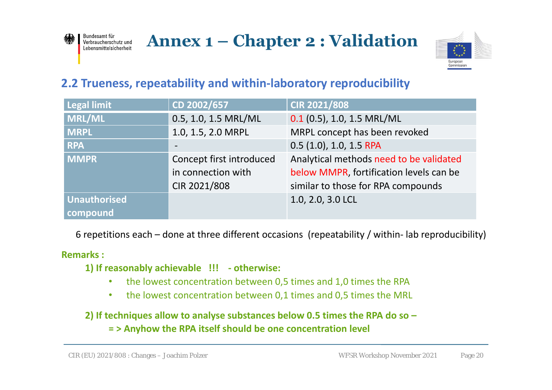



#### **2.2 Trueness, repeatability and within‐laboratory reproducibility**

| <b>Legal limit</b>  | CD 2002/657                                         | CIR 2021/808                            |  |
|---------------------|-----------------------------------------------------|-----------------------------------------|--|
| <b>MRL/ML</b>       | 0.5, 1.0, 1.5 MRL/ML                                | $0.1$ (0.5), 1.0, 1.5 MRL/ML            |  |
| <b>MRPL</b>         | MRPL concept has been revoked<br>1.0, 1.5, 2.0 MRPL |                                         |  |
| <b>RPA</b>          |                                                     | 0.5 (1.0), 1.0, 1.5 RPA                 |  |
| <b>MMPR</b>         | Concept first introduced                            | Analytical methods need to be validated |  |
|                     | in connection with                                  | below MMPR, fortification levels can be |  |
|                     | CIR 2021/808                                        | similar to those for RPA compounds      |  |
| <b>Unauthorised</b> |                                                     | 1.0, 2.0, 3.0 LCL                       |  |
| compound            |                                                     |                                         |  |

6 repetitions each – done at three different occasions (repeatability / within‐ lab reproducibility)

#### **Remarks :**

Bundesamt für

Lebensmittelsicherheit

- **1) If reasonably achievable !!! ‐ otherwise:**
	- •the lowest concentration between 0,5 times and 1,0 times the RPA
	- $\bullet$ the lowest concentration between 0,1 times and 0,5 times the MRL

**2) If techniques allow to analyse substances below 0.5 times the RPA do so –**

**= > Anyhow the RPA itself should be one concentration level**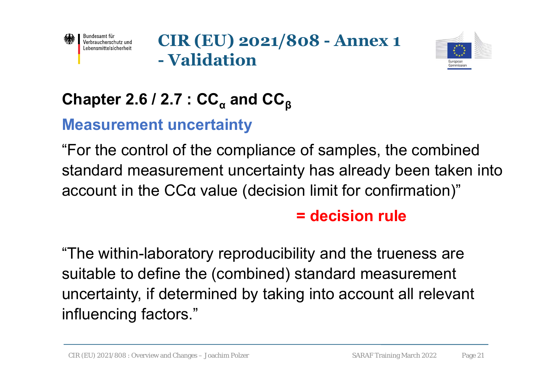

**CIR (EU) 2021/808 - Annex 1 - Validation**



### **Chapter 2.6 / 2.7 : CC<sub>α</sub> and CC<sub>β</sub>**

### **Measurement uncertainty**

"For the control of the compliance of samples, the combined standard measurement uncertainty has already been taken into account in the CCα value (decision limit for confirmation)"

### **= decision rule**

"The within-laboratory reproducibility and the trueness are suitable to define the (combined) standard measurement uncertainty, if determined by taking into account all relevant influencing factors."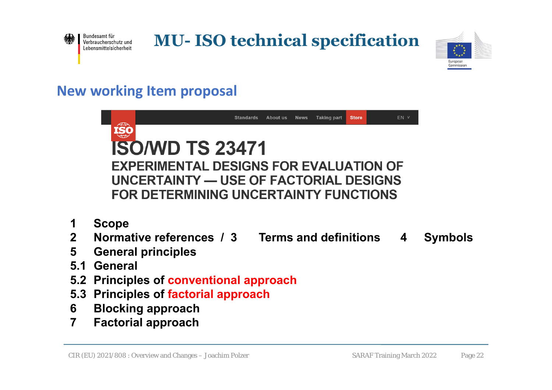

**MU- ISO technical specification**



### **New working Item proposal**

|                         | EN V<br>Standards<br>About us<br><b>News</b><br><b>Taking part</b><br><b>Store</b> |  |  |  |  |
|-------------------------|------------------------------------------------------------------------------------|--|--|--|--|
|                         |                                                                                    |  |  |  |  |
|                         | <b>ISO/WD TS 23471</b>                                                             |  |  |  |  |
|                         | <b>EXPERIMENTAL DESIGNS FOR EVALUATION OF</b>                                      |  |  |  |  |
|                         | UNCERTAINTY — USE OF FACTORIAL DESIGNS                                             |  |  |  |  |
|                         | <b>FOR DETERMINING UNCERTAINTY FUNCTIONS</b>                                       |  |  |  |  |
| 1                       | <b>Scope</b>                                                                       |  |  |  |  |
| 2 <sup>1</sup>          | Normative references / 3 Terms and definitions<br><b>Symbols</b><br>4              |  |  |  |  |
| 5                       | <b>General principles</b>                                                          |  |  |  |  |
| 5.1                     | <b>General</b>                                                                     |  |  |  |  |
| 5.2                     | Principles of conventional approach                                                |  |  |  |  |
| 5.3                     | <b>Principles of factorial approach</b>                                            |  |  |  |  |
| 6                       | <b>Blocking approach</b>                                                           |  |  |  |  |
| $\overline{\mathbf{7}}$ | <b>Factorial approach</b>                                                          |  |  |  |  |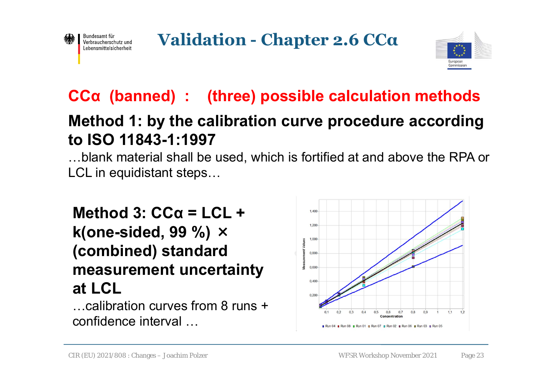



### **CCα (banned) : (three) possible calculation methods**

### **Method 1: by the calibration curve procedure according to ISO 11843-1:1997**

…blank material shall be used, which is fortified at and above the RPA or LCL in equidistant steps…

**Method 3: CCα = LCL + k(one-sided, 99 %)** <sup>×</sup> **(combined) standard measurement uncertainty at LCL**

…calibration curves from 8 runs + confidence interval …

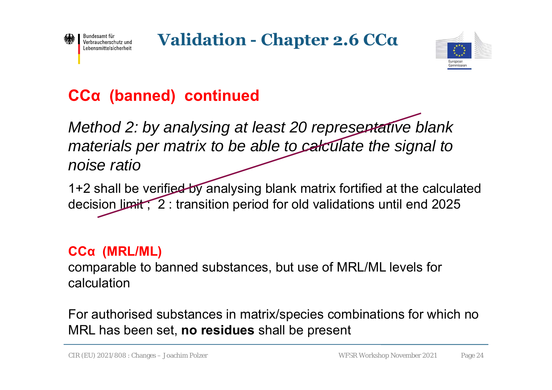

**Validation - Chapter 2.6 CC<sup>α</sup>**



### **CCα (banned) continued**

*Method 2: by analysing at least 20 representative blank materials per matrix to be able to calculate the signal to noise ratio* 

1+2 shall be verified by analysing blank matrix fortified at the calculated decision limit ; 2 : transition period for old validations until end 2025

### **CCα (MRL/ML)**

comparable to banned substances, but use of MRL/ML levels for calculation

For authorised substances in matrix/species combinations for which no MRL has been set, **no residues** shall be present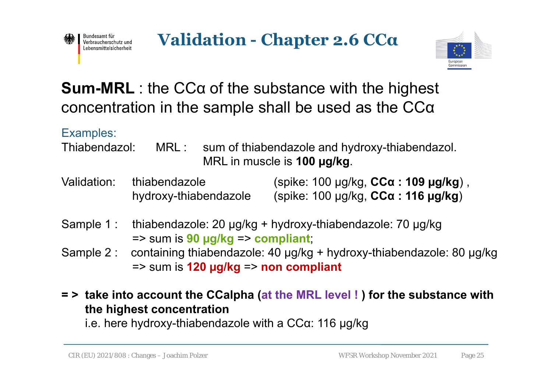



### **Sum-MRL** : the CCα of the substance with the highest concentration in the sample shall be used as the CCα

#### Examples:

- Thiabendazol: MRL : sum of thiabendazole and hydroxy-thiabendazol. MRL in muscle is **100 µg/kg**.
- Validation: thiabendazole (spike: 100 µg/kg, **CCα : 109 µg/kg**) , hydroxy-thiabendazole (spike: 100 µg/kg, **CCα : 116 µg/kg**)
- Sample 1 : thiabendazole: 20 µg/kg + hydroxy-thiabendazole: 70 µg/kg => sum is **90 µg/kg** => **compliant**;
- Sample 2 : containing thiabendazole: 40 µg/kg + hydroxy-thiabendazole: 80 µg/kg => sum is **120 µg/kg** => **non compliant**
- **= > take into account the CCalpha (at the MRL level ! ) for the substance with the highest concentration**

i.e. here hydroxy-thiabendazole with a CCα: 116 µg/kg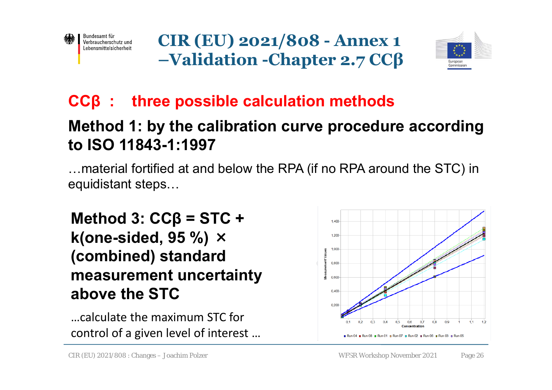

**CIR (EU) 2021/808 - Annex 1 –Validation -Chapter 2.7 CCβ**



### **CCβ : three possible calculation methods**

### **Method 1: by the calibration curve procedure according to ISO 11843-1:1997**

…material fortified at and below the RPA (if no RPA around the STC) in equidistant steps…

**Method 3: CCβ = STC + k(one-sided, 95 %)** <sup>×</sup> **(combined) standard measurement uncertainty above the STC**

…calculate the maximum STC for control of a given level of interest …

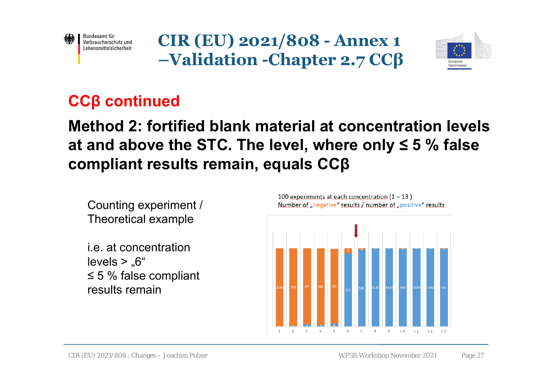

**CIR (EU) 2021/808 - Annex 1 –Validation -Chapter 2.7 CCβ**



### **CCβ continued**

### **Method 2: fortified blank material at concentration levels at and above the STC. The level, where only ≤ 5 % false compliant results remain, equals CCβ**

Counting experiment / Theoretical example

i.e. at concentration $levels > .6"$ ≤ 5 % false compliant results remain



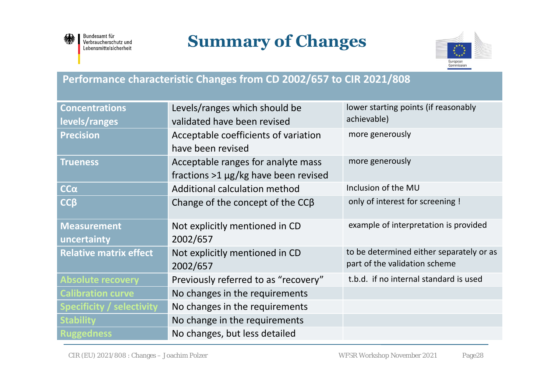

Bundesamt für<br>Verbraucherschutz und Lebensmittelsicherheit

### **Summary of Changes**



#### **Performance characteristic Changes from CD 2002/657 to CIR 2021/808**

| <b>Concentrations</b>            | Levels/ranges which should be             | lower starting points (if reasonably     |  |
|----------------------------------|-------------------------------------------|------------------------------------------|--|
| levels/ranges                    | validated have been revised               | achievable)                              |  |
| <b>Precision</b>                 | Acceptable coefficients of variation      | more generously                          |  |
|                                  | have been revised                         |                                          |  |
| <b>Trueness</b>                  | Acceptable ranges for analyte mass        | more generously                          |  |
|                                  | fractions $>1 \mu g/kg$ have been revised |                                          |  |
| $CC\alpha$                       | Additional calculation method             | Inclusion of the MU                      |  |
| $CC\beta$                        | Change of the concept of the $CC\beta$    | only of interest for screening !         |  |
| <b>Measurement</b>               | Not explicitly mentioned in CD            | example of interpretation is provided    |  |
| uncertainty                      | 2002/657                                  |                                          |  |
| <b>Relative matrix effect</b>    | Not explicitly mentioned in CD            | to be determined either separately or as |  |
|                                  | 2002/657                                  | part of the validation scheme            |  |
| <b>Absolute recovery</b>         | Previously referred to as "recovery"      | t.b.d. if no internal standard is used   |  |
| <b>Calibration curve</b>         | No changes in the requirements            |                                          |  |
| <b>Specificity / selectivity</b> | No changes in the requirements            |                                          |  |
| <b>Stability</b>                 | No change in the requirements             |                                          |  |
| <b>Ruggedness</b>                | No changes, but less detailed             |                                          |  |